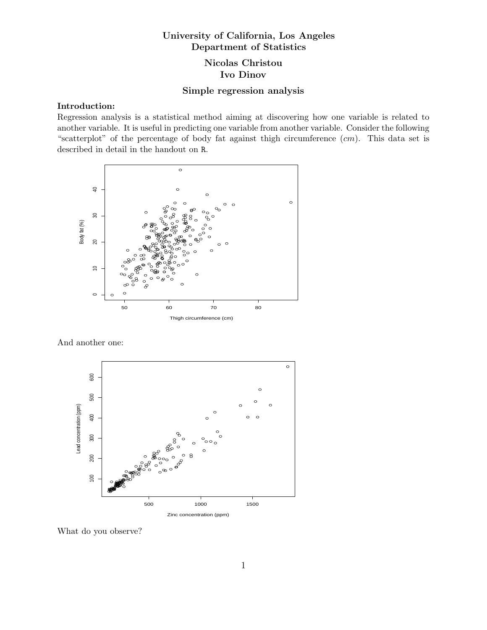# University of California, Los Angeles Department of Statistics

## Nicolas Christou Ivo Dinov

### Simple regression analysis

### Introduction:

Regression analysis is a statistical method aiming at discovering how one variable is related to another variable. It is useful in predicting one variable from another variable. Consider the following "scatterplot" of the percentage of body fat against thigh circumference  $(cm)$ . This data set is described in detail in the handout on R.



And another one:



What do you observe?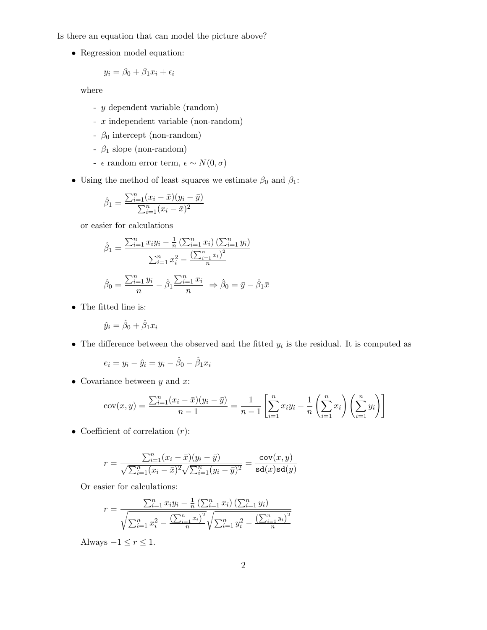Is there an equation that can model the picture above?

• Regression model equation:

$$
y_i = \beta_0 + \beta_1 x_i + \epsilon_i
$$

where

- y dependent variable (random)
- x independent variable (non-random)
- $\beta_0$  intercept (non-random)
- $\beta_1$  slope (non-random)
- $\epsilon$ random error term, $\epsilon \sim N(0,\sigma)$
- Using the method of least squares we estimate  $\beta_0$  and  $\beta_1$ :

$$
\hat{\beta}_1 = \frac{\sum_{i=1}^n (x_i - \bar{x})(y_i - \bar{y})}{\sum_{i=1}^n (x_i - \bar{x})^2}
$$

or easier for calculations

$$
\hat{\beta}_1 = \frac{\sum_{i=1}^n x_i y_i - \frac{1}{n} \left(\sum_{i=1}^n x_i\right) \left(\sum_{i=1}^n y_i\right)}{\sum_{i=1}^n x_i^2 - \frac{\left(\sum_{i=1}^n x_i\right)^2}{n}}
$$

$$
\hat{\beta}_0 = \frac{\sum_{i=1}^n y_i}{n} - \hat{\beta}_1 \frac{\sum_{i=1}^n x_i}{n} \Rightarrow \hat{\beta}_0 = \bar{y} - \hat{\beta}_1 \bar{x}
$$

 $\bullet~$  The fitted line is:

$$
\hat{y}_i = \hat{\beta}_0 + \hat{\beta}_1 x_i
$$

• The difference between the observed and the fitted  $y_i$  is the residual. It is computed as

$$
e_i = y_i - \hat{y}_i = y_i - \hat{\beta}_0 - \hat{\beta}_1 x_i
$$

• Covariance between  $y$  and  $x$ :

$$
cov(x,y) = \frac{\sum_{i=1}^{n} (x_i - \bar{x})(y_i - \bar{y})}{n-1} = \frac{1}{n-1} \left[ \sum_{i=1}^{n} x_i y_i - \frac{1}{n} \left( \sum_{i=1}^{n} x_i \right) \left( \sum_{i=1}^{n} y_i \right) \right]
$$

• Coefficient of correlation  $(r)$ :

$$
r = \frac{\sum_{i=1}^{n} (x_i - \bar{x})(y_i - \bar{y})}{\sqrt{\sum_{i=1}^{n} (x_i - \bar{x})^2} \sqrt{\sum_{i=1}^{n} (y_i - \bar{y})^2}} = \frac{\text{cov}(x, y)}{\text{sd}(x)\text{sd}(y)}
$$

Or easier for calculations:

$$
r = \frac{\sum_{i=1}^{n} x_i y_i - \frac{1}{n} (\sum_{i=1}^{n} x_i) (\sum_{i=1}^{n} y_i)}{\sqrt{\sum_{i=1}^{n} x_i^2 - \frac{(\sum_{i=1}^{n} x_i)^2}{n}} \sqrt{\sum_{i=1}^{n} y_i^2 - \frac{(\sum_{i=1}^{n} y_i)^2}{n}}}
$$

Always  $-1 \le r \le 1$ .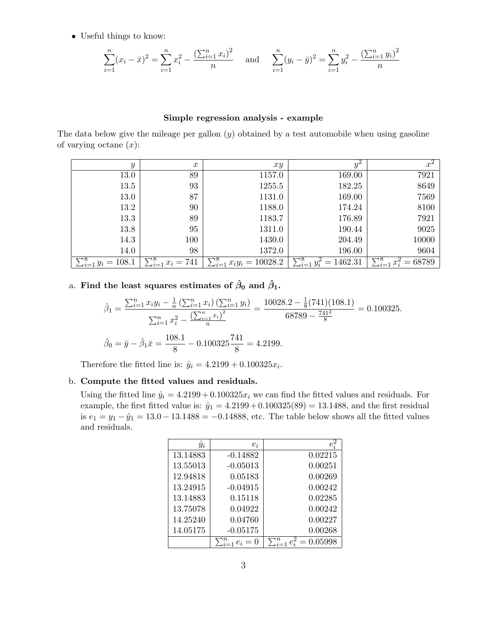• Useful things to know:

$$
\sum_{i=1}^{n} (x_i - \bar{x})^2 = \sum_{i=1}^{n} x_i^2 - \frac{\left(\sum_{i=1}^{n} x_i\right)^2}{n} \quad \text{and} \quad \sum_{i=1}^{n} (y_i - \bar{y})^2 = \sum_{i=1}^{n} y_i^2 - \frac{\left(\sum_{i=1}^{n} y_i\right)^2}{n}
$$

#### Simple regression analysis - example

The data below give the mileage per gallon  $(y)$  obtained by a test automobile when using gasoline of varying octane  $(x)$ :

| $\boldsymbol{y}$                  | $\boldsymbol{x}$           | xy                                      | $y^{\omega}$                    | $x^2$                                    |
|-----------------------------------|----------------------------|-----------------------------------------|---------------------------------|------------------------------------------|
| 13.0                              | 89                         | 1157.0                                  | 169.00                          | 7921                                     |
| 13.5                              | 93                         | 1255.5                                  | 182.25                          | 8649                                     |
| 13.0                              | 87                         | 1131.0                                  | 169.00                          | 7569                                     |
| 13.2                              | 90                         | 1188.0                                  | 174.24                          | 8100                                     |
| 13.3                              | 89                         | 1183.7                                  | 176.89                          | 7921                                     |
| 13.8                              | 95                         | 1311.0                                  | 190.44                          | 9025                                     |
| 14.3                              | 100                        | 1430.0                                  | 204.49                          | 10000                                    |
| 14.0                              | 98                         | 1372.0                                  | 196.00                          | 9604                                     |
| $\sum_{i=1}^{\infty} y_i = 108.1$ | $\sum_{i=1}^{8} x_i = 741$ | $\sum_{i=1}^{\infty} x_i y_i = 10028.2$ | $= 1462.31$<br>$\sum_{i=1} y_i$ | $= 68789$<br>$\sum_{i=1}^{\infty} x_i^2$ |

## a. Find the least squares estimates of  $\hat{\beta}_0$  and  $\hat{\beta}_1$ .

$$
\hat{\beta}_1 = \frac{\sum_{i=1}^n x_i y_i - \frac{1}{n} \left( \sum_{i=1}^n x_i \right) \left( \sum_{i=1}^n y_i \right)}{\sum_{i=1}^n x_i^2 - \frac{\left( \sum_{i=1}^n x_i \right)^2}{n}} = \frac{10028.2 - \frac{1}{8} (741)(108.1)}{68789 - \frac{741^2}{8}} = 0.100325.
$$
  

$$
\hat{\beta}_0 = \bar{y} - \hat{\beta}_1 \bar{x} = \frac{108.1}{8} - 0.100325 \frac{741}{8} = 4.2199.
$$

Therefore the fitted line is:  $\hat{y}_i = 4.2199 + 0.100325x_i$ .

#### b. Compute the fitted values and residuals.

Using the fitted line  $\hat{y}_i = 4.2199 + 0.100325x_i$  we can find the fitted values and residuals. For example, the first fitted value is:  $\hat{y}_1 = 4.2199 + 0.100325(89) = 13.1488$ , and the first residual is  $e_1 = y_1 - \hat{y}_1 = 13.0 - 13.1488 = -0.14888$ , etc. The table below shows all the fitted values and residuals.

| $\hat{y}_i$ | $e_i$                  | $e_i^2$ |
|-------------|------------------------|---------|
| 13.14883    | $-0.14882$             | 0.02215 |
| 13.55013    | $-0.05013$             | 0.00251 |
| 12.94818    | 0.05183                | 0.00269 |
| 13.24915    | $-0.04915$             | 0.00242 |
| 13.14883    | 0.15118                | 0.02285 |
| 13.75078    | 0.04922                | 0.00242 |
| 14.25240    | 0.04760                | 0.00227 |
| 14.05175    | $-0.05175$             | 0.00268 |
|             | $\sum_{i=1}^n e_i = 0$ | 0.05998 |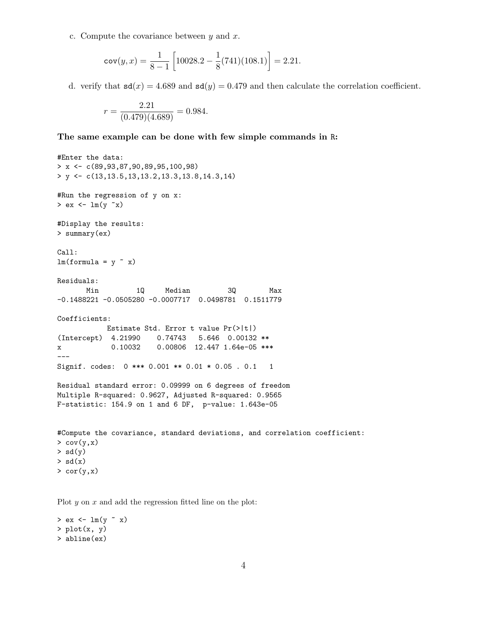c. Compute the covariance between  $y$  and  $x$ .

$$
cov(y, x) = \frac{1}{8 - 1} \left[ 10028.2 - \frac{1}{8} (741)(108.1) \right] = 2.21.
$$

d. verify that  $sd(x) = 4.689$  and  $sd(y) = 0.479$  and then calculate the correlation coefficient.

$$
r = \frac{2.21}{(0.479)(4.689)} = 0.984.
$$

The same example can be done with few simple commands in R:

```
#Enter the data:
> x <- c(89,93,87,90,89,95,100,98)
> y \leftarrow c(13,13.5,13,13.2,13.3,13.8,14.3,14)
#Run the regression of y on x:
> ex < - \ln(y x)#Display the results:
> summary(ex)
Call:
lm(formula = y x x)Residuals:
      Min 1Q Median 3Q Max
-0.1488221 -0.0505280 -0.0007717 0.0498781 0.1511779
Coefficients:
          Estimate Std. Error t value Pr(>|t|)
(Intercept) 4.21990 0.74743 5.646 0.00132 **
x 0.10032 0.00806 12.447 1.64e-05 ***
---Signif. codes: 0 *** 0.001 ** 0.01 * 0.05 . 0.1 1
Residual standard error: 0.09999 on 6 degrees of freedom
Multiple R-squared: 0.9627, Adjusted R-squared: 0.9565
F-statistic: 154.9 on 1 and 6 DF, p-value: 1.643e-05
#Compute the covariance, standard deviations, and correlation coefficient:
> cov(y,x)> sd(y)
> sd(x)> cor(y,x)
```
Plot  $y$  on  $x$  and add the regression fitted line on the plot:

 $>$  ex  $<-$  lm(y  $~$  x)  $> plot(x, y)$ > abline(ex)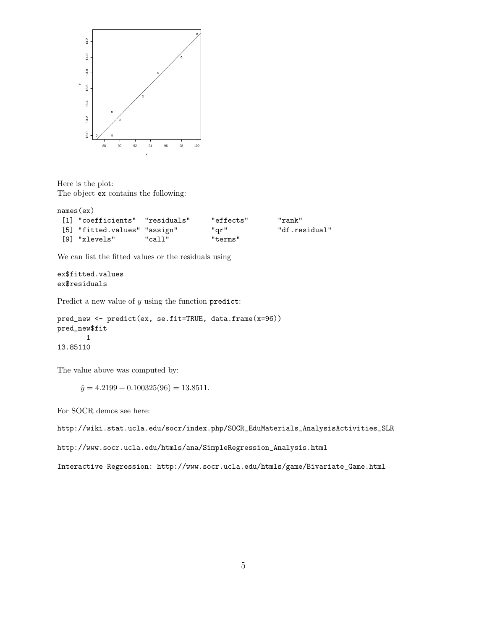

Here is the plot: The object ex contains the following:

```
names(ex)
[1] "coefficients" "residuals" "effects" "rank"
[5] "fitted.values" "assign" "qr" "df.residual"
[9] "xlevels" "call" "terms"
```
We can list the fitted values or the residuals using

ex\$fitted.values ex\$residuals

Predict a new value of  $y$  using the function predict:

```
pred_new <- predict(ex, se.fit=TRUE, data.frame(x=96))
pred_new$fit
       1
13.85110
```
The value above was computed by:

 $\hat{y} = 4.2199 + 0.100325(96) = 13.8511.$ 

For SOCR demos see here:

http://wiki.stat.ucla.edu/socr/index.php/SOCR\_EduMaterials\_AnalysisActivities\_SLR

http://www.socr.ucla.edu/htmls/ana/SimpleRegression\_Analysis.html

Interactive Regression: http://www.socr.ucla.edu/htmls/game/Bivariate\_Game.html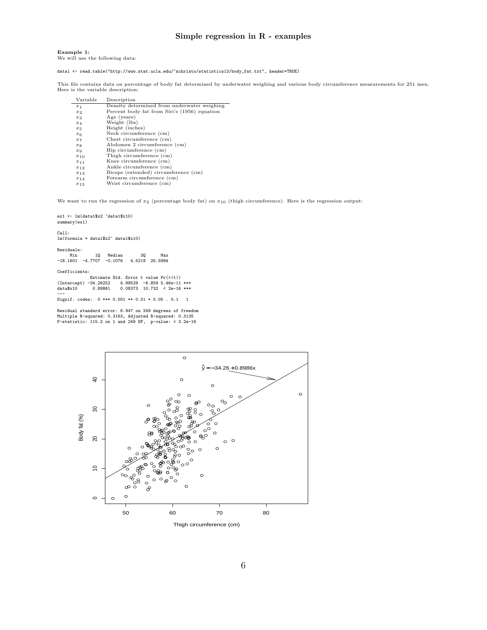#### Simple regression in R - examples

Example 1: We will use the following data:

data1 <- read.table("http://www.stat.ucla.edu/"nchristo/statistics13/body\_fat.txt", header=TRUE)

This file contains data on percentage of body fat determined by underwater weighing and various body circumference measurements for 251 men. Here is the variable description:

| Variable       | Description                                  |
|----------------|----------------------------------------------|
| $x_1$          | Density determined from underwater weighing  |
| $x_2$          | Percent body fat from Siri's (1956) equation |
| $x_3$          | Age (years)                                  |
| $x_4$          | Weight (lbs)                                 |
| $x_{5}$        | Height (inches)                              |
| x <sub>6</sub> | Neck circumference (cm)                      |
| $x_7$          | Chest circumference (cm)                     |
| $x_{8}$        | Abdomen 2 circumference (cm)                 |
| $x_{9}$        | Hip circumference (cm)                       |
| $x_{10}$       | Thigh circumference (cm)                     |
| $x_{11}$       | Knee circumference (cm)                      |
| $x_{12}$       | Ankle circumference (cm)                     |
| $x_{13}$       | Biceps (extended) circumference (cm)         |
| $x_{14}$       | Forearm circumference (cm)                   |
| $x_{15}$       | Wrist circumference (cm)                     |

We want to run the regression of  $x_2$  (percentage body fat) on  $x_{10}$  (thigh circumference). Here is the regression output:

ex1 <- lm(data1\$x2 ~data1\$x10) summary(ex1)

Call:

lm(formula = data1\$x2~ data1\$x10)

Residuals:

| Min | 10 Median | 30                                            | Max |
|-----|-----------|-----------------------------------------------|-----|
|     |           | $-18.1601$ $-4.7707$ $-0.1076$ 4.5219 25.5994 |     |

#### Coefficients:

Estimate Std. Error t value Pr(>|t|) (Intercept) -34.26252 4.99529 -6.859 5.46e-11 \*\*\* data\$x10 0.89861 0.08373 10.732 < 2e-16 \*\*\* ---

Signif. codes: 0 \*\*\* 0.001 \*\* 0.01 \* 0.05 . 0.1 1

Residual standard error: 6.947 on 249 degrees of freedom Multiple R-squared: 0.3163, Adjusted R-squared: 0.3135 F-statistic: 115.2 on 1 and 249 DF, p-value: < 2.2e-16



Thigh circumference (cm)